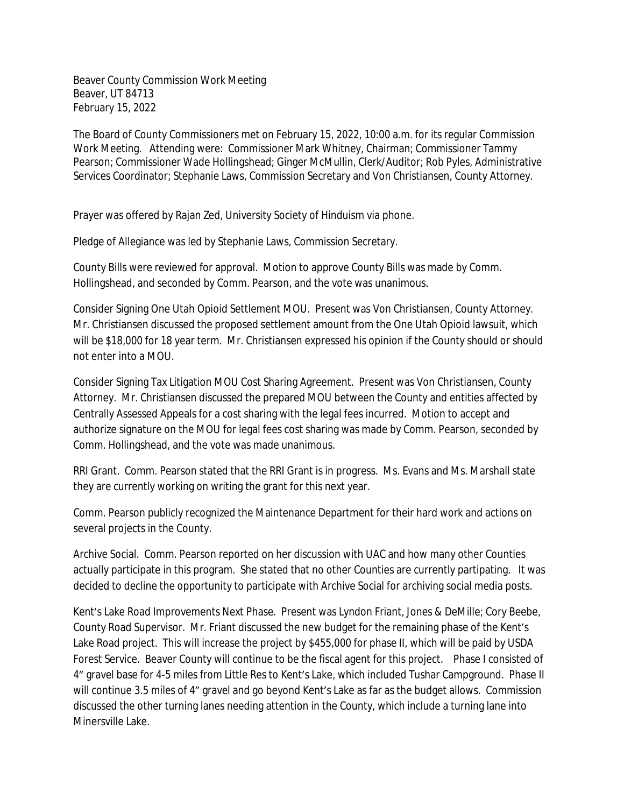Beaver County Commission Work Meeting Beaver, UT 84713 February 15, 2022

The Board of County Commissioners met on February 15, 2022, 10:00 a.m. for its regular Commission Work Meeting. Attending were: Commissioner Mark Whitney, Chairman; Commissioner Tammy Pearson; Commissioner Wade Hollingshead; Ginger McMullin, Clerk/Auditor; Rob Pyles, Administrative Services Coordinator; Stephanie Laws, Commission Secretary and Von Christiansen, County Attorney.

Prayer was offered by Rajan Zed, University Society of Hinduism via phone.

Pledge of Allegiance was led by Stephanie Laws, Commission Secretary.

County Bills were reviewed for approval. Motion to approve County Bills was made by Comm. Hollingshead, and seconded by Comm. Pearson, and the vote was unanimous.

Consider Signing One Utah Opioid Settlement MOU. Present was Von Christiansen, County Attorney. Mr. Christiansen discussed the proposed settlement amount from the One Utah Opioid lawsuit, which will be \$18,000 for 18 year term. Mr. Christiansen expressed his opinion if the County should or should not enter into a MOU.

Consider Signing Tax Litigation MOU Cost Sharing Agreement. Present was Von Christiansen, County Attorney. Mr. Christiansen discussed the prepared MOU between the County and entities affected by Centrally Assessed Appeals for a cost sharing with the legal fees incurred. Motion to accept and authorize signature on the MOU for legal fees cost sharing was made by Comm. Pearson, seconded by Comm. Hollingshead, and the vote was made unanimous.

RRI Grant. Comm. Pearson stated that the RRI Grant is in progress. Ms. Evans and Ms. Marshall state they are currently working on writing the grant for this next year.

Comm. Pearson publicly recognized the Maintenance Department for their hard work and actions on several projects in the County.

Archive Social. Comm. Pearson reported on her discussion with UAC and how many other Counties actually participate in this program. She stated that no other Counties are currently partipating. It was decided to decline the opportunity to participate with Archive Social for archiving social media posts.

Kent's Lake Road Improvements Next Phase. Present was Lyndon Friant, Jones & DeMille; Cory Beebe, County Road Supervisor. Mr. Friant discussed the new budget for the remaining phase of the Kent's Lake Road project. This will increase the project by \$455,000 for phase II, which will be paid by USDA Forest Service. Beaver County will continue to be the fiscal agent for this project. Phase I consisted of 4" gravel base for 4-5 miles from Little Res to Kent's Lake, which included Tushar Campground. Phase II will continue 3.5 miles of 4" gravel and go beyond Kent's Lake as far as the budget allows. Commission discussed the other turning lanes needing attention in the County, which include a turning lane into Minersville Lake.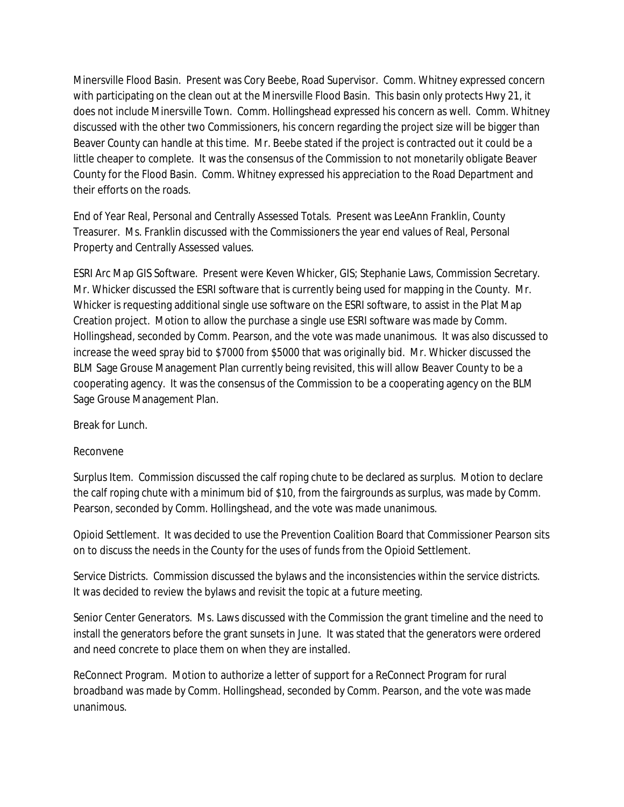Minersville Flood Basin. Present was Cory Beebe, Road Supervisor. Comm. Whitney expressed concern with participating on the clean out at the Minersville Flood Basin. This basin only protects Hwy 21, it does not include Minersville Town. Comm. Hollingshead expressed his concern as well. Comm. Whitney discussed with the other two Commissioners, his concern regarding the project size will be bigger than Beaver County can handle at this time. Mr. Beebe stated if the project is contracted out it could be a little cheaper to complete. It was the consensus of the Commission to not monetarily obligate Beaver County for the Flood Basin. Comm. Whitney expressed his appreciation to the Road Department and their efforts on the roads.

End of Year Real, Personal and Centrally Assessed Totals. Present was LeeAnn Franklin, County Treasurer. Ms. Franklin discussed with the Commissioners the year end values of Real, Personal Property and Centrally Assessed values.

ESRI Arc Map GIS Software. Present were Keven Whicker, GIS; Stephanie Laws, Commission Secretary. Mr. Whicker discussed the ESRI software that is currently being used for mapping in the County. Mr. Whicker is requesting additional single use software on the ESRI software, to assist in the Plat Map Creation project. Motion to allow the purchase a single use ESRI software was made by Comm. Hollingshead, seconded by Comm. Pearson, and the vote was made unanimous. It was also discussed to increase the weed spray bid to \$7000 from \$5000 that was originally bid. Mr. Whicker discussed the BLM Sage Grouse Management Plan currently being revisited, this will allow Beaver County to be a cooperating agency. It was the consensus of the Commission to be a cooperating agency on the BLM Sage Grouse Management Plan.

Break for Lunch.

## Reconvene

Surplus Item. Commission discussed the calf roping chute to be declared as surplus. Motion to declare the calf roping chute with a minimum bid of \$10, from the fairgrounds as surplus, was made by Comm. Pearson, seconded by Comm. Hollingshead, and the vote was made unanimous.

Opioid Settlement. It was decided to use the Prevention Coalition Board that Commissioner Pearson sits on to discuss the needs in the County for the uses of funds from the Opioid Settlement.

Service Districts. Commission discussed the bylaws and the inconsistencies within the service districts. It was decided to review the bylaws and revisit the topic at a future meeting.

Senior Center Generators. Ms. Laws discussed with the Commission the grant timeline and the need to install the generators before the grant sunsets in June. It was stated that the generators were ordered and need concrete to place them on when they are installed.

ReConnect Program. Motion to authorize a letter of support for a ReConnect Program for rural broadband was made by Comm. Hollingshead, seconded by Comm. Pearson, and the vote was made unanimous.